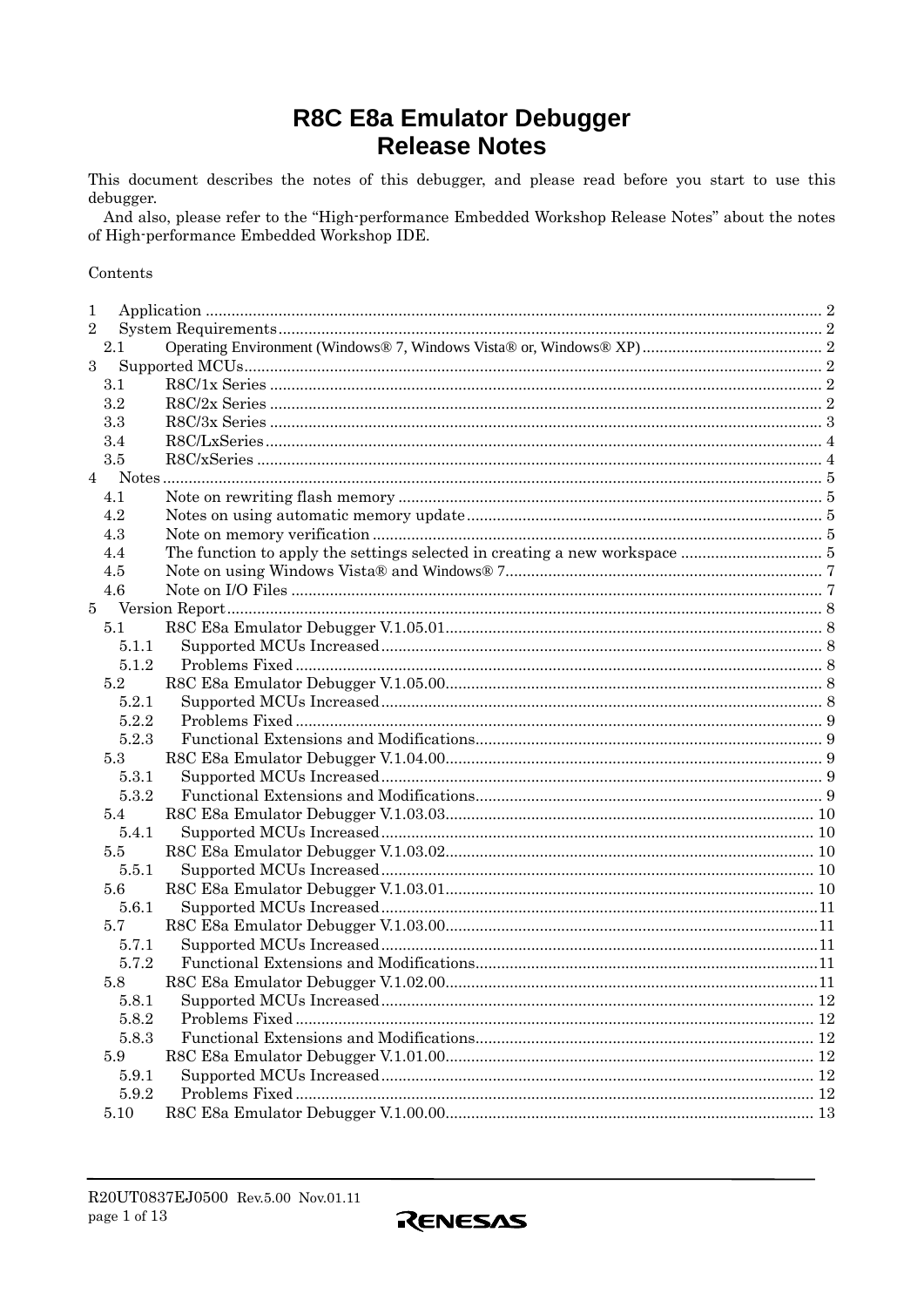# **R8C E8a Emulator Debugger Release Notes**

This document describes the notes of this debugger, and please read before you start to use this debugger.

And also, please refer to the "High-performance Embedded Workshop Release Notes" about the notes of High-performance Embedded Workshop IDE.

#### Contents

| 1              |       |  |  |  |
|----------------|-------|--|--|--|
| $\overline{2}$ |       |  |  |  |
|                | 2.1   |  |  |  |
| 3              |       |  |  |  |
|                | 3.1   |  |  |  |
|                | 3.2   |  |  |  |
|                | 3.3   |  |  |  |
|                | 3.4   |  |  |  |
|                | 3.5   |  |  |  |
| 4              |       |  |  |  |
|                | 4.1   |  |  |  |
|                | 4.2   |  |  |  |
|                | 4.3   |  |  |  |
|                | 4.4   |  |  |  |
|                | 4.5   |  |  |  |
|                | 4.6   |  |  |  |
| 5              |       |  |  |  |
|                | 5.1   |  |  |  |
|                | 5.1.1 |  |  |  |
|                | 5.1.2 |  |  |  |
|                | 5.2   |  |  |  |
|                | 5.2.1 |  |  |  |
|                | 5.2.2 |  |  |  |
|                | 5.2.3 |  |  |  |
|                | 5.3   |  |  |  |
|                | 5.3.1 |  |  |  |
|                | 5.3.2 |  |  |  |
|                | 5.4   |  |  |  |
|                | 5.4.1 |  |  |  |
|                | 5.5   |  |  |  |
|                | 5.5.1 |  |  |  |
|                | 5.6   |  |  |  |
|                | 5.6.1 |  |  |  |
|                | 5.7   |  |  |  |
|                | 5.7.1 |  |  |  |
|                | 5.7.2 |  |  |  |
|                | 5.8   |  |  |  |
|                | 5.8.1 |  |  |  |
|                | 5.8.2 |  |  |  |
|                | 5.8.3 |  |  |  |
|                | 5.9   |  |  |  |
|                | 5.9.1 |  |  |  |
|                | 5.9.2 |  |  |  |
|                | 5.10  |  |  |  |

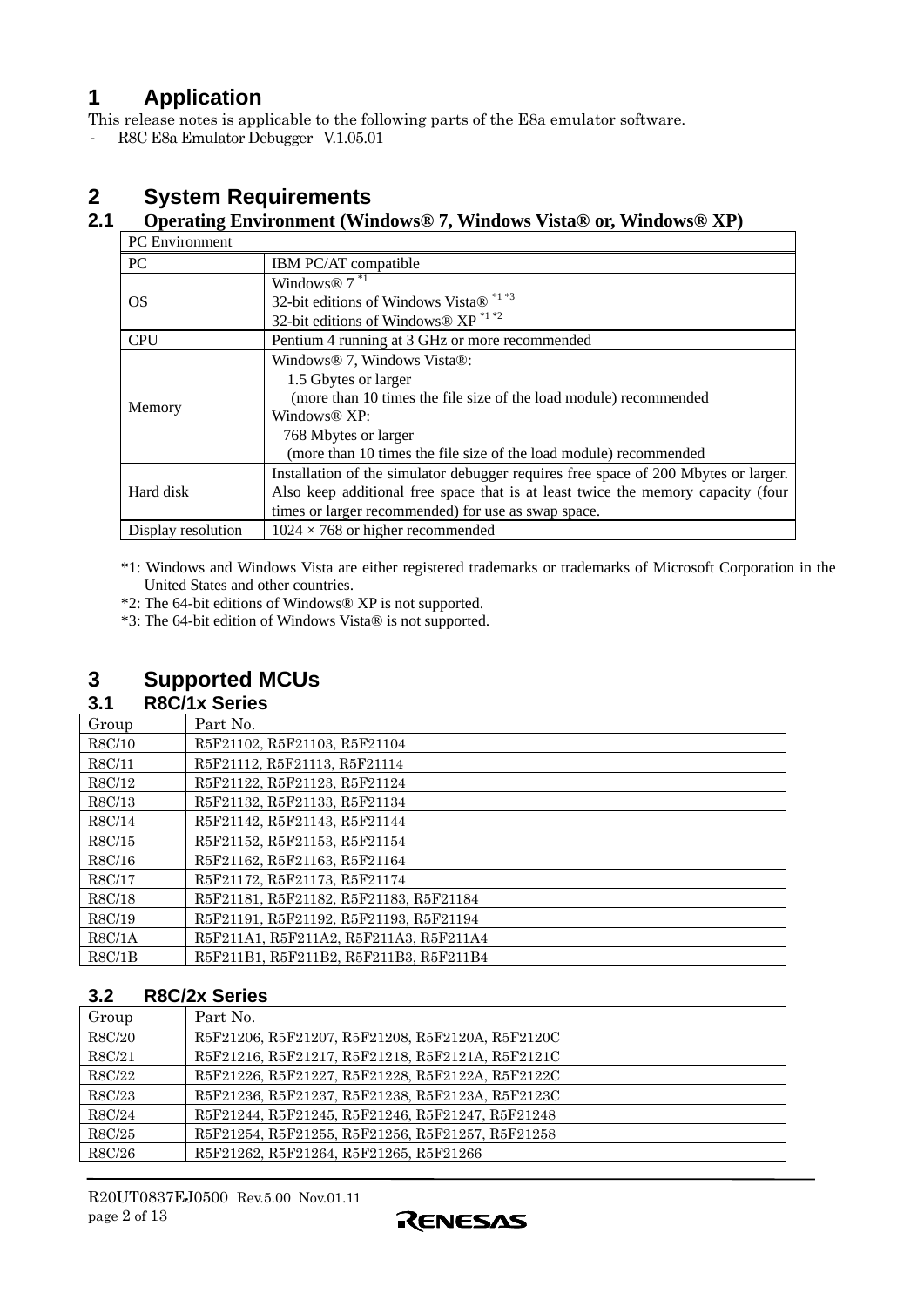# <span id="page-1-0"></span>**1 Application**

This release notes is applicable to the following parts of the E8a emulator software.

- R8C E8a Emulator Debugger V.1.05.01

# **2 System Requirements**

# **2.1 Operating Environment (Windows® 7, Windows Vista® or, Windows® XP)**

| <b>PC</b> Environment |                                                                                     |  |  |
|-----------------------|-------------------------------------------------------------------------------------|--|--|
| <b>PC</b>             | <b>IBM PC/AT compatible</b>                                                         |  |  |
|                       | Windows <sup>®</sup> $7^{*1}$                                                       |  |  |
| OS                    | 32-bit editions of Windows Vista® *1 *3                                             |  |  |
|                       | 32-bit editions of Windows® $XP^{\ast 1\ast 2}$                                     |  |  |
| <b>CPU</b>            | Pentium 4 running at 3 GHz or more recommended                                      |  |  |
|                       | Windows <sup>®</sup> 7, Windows Vista <sup>®</sup> :                                |  |  |
|                       | 1.5 Gbytes or larger                                                                |  |  |
|                       | (more than 10 times the file size of the load module) recommended                   |  |  |
| Memory                | Windows $@$ XP:                                                                     |  |  |
|                       | 768 Mbytes or larger                                                                |  |  |
|                       | (more than 10 times the file size of the load module) recommended                   |  |  |
|                       | Installation of the simulator debugger requires free space of 200 Mbytes or larger. |  |  |
| Hard disk             | Also keep additional free space that is at least twice the memory capacity (four    |  |  |
|                       | times or larger recommended) for use as swap space.                                 |  |  |
| Display resolution    | $1024 \times 768$ or higher recommended                                             |  |  |

\*1: Windows and Windows Vista are either registered trademarks or trademarks of Microsoft Corporation in the United States and other countries.

\*2: The 64-bit editions of Windows® XP is not supported.

\*3: The 64-bit edition of Windows Vista® is not supported.

# **3 Supported MCUs**

# **3.1 R8C/1x Series**

| Group  | Part No.                               |
|--------|----------------------------------------|
| R8C/10 | R5F21102, R5F21103, R5F21104           |
| R8C/11 | R5F21112, R5F21113, R5F21114           |
| R8C/12 | R5F21122, R5F21123, R5F21124           |
| R8C/13 | R5F21132, R5F21133, R5F21134           |
| R8C/14 | R5F21142, R5F21143, R5F21144           |
| R8C/15 | R5F21152, R5F21153, R5F21154           |
| R8C/16 | R5F21162, R5F21163, R5F21164           |
| R8C/17 | R5F21172, R5F21173, R5F21174           |
| R8C/18 | R5F21181, R5F21182, R5F21183, R5F21184 |
| R8C/19 | R5F21191, R5F21192, R5F21193, R5F21194 |
| R8C/1A | R5F211A1, R5F211A2, R5F211A3, R5F211A4 |
| R8C/1B | R5F211B1, R5F211B2, R5F211B3, R5F211B4 |

# **3.2 R8C/2x Series**

| Group  | Part No.                                         |
|--------|--------------------------------------------------|
| R8C/20 | R5F21206, R5F21207, R5F21208, R5F2120A, R5F2120C |
| R8C/21 | R5F21216, R5F21217, R5F21218, R5F2121A, R5F2121C |
| R8C/22 | R5F21226, R5F21227, R5F21228, R5F2122A, R5F2122C |
| R8C/23 | R5F21236, R5F21237, R5F21238, R5F2123A, R5F2123C |
| R8C/24 | R5F21244, R5F21245, R5F21246, R5F21247, R5F21248 |
| R8C/25 | R5F21254, R5F21255, R5F21256, R5F21257, R5F21258 |
| R8C/26 | R5F21262, R5F21264, R5F21265, R5F21266           |

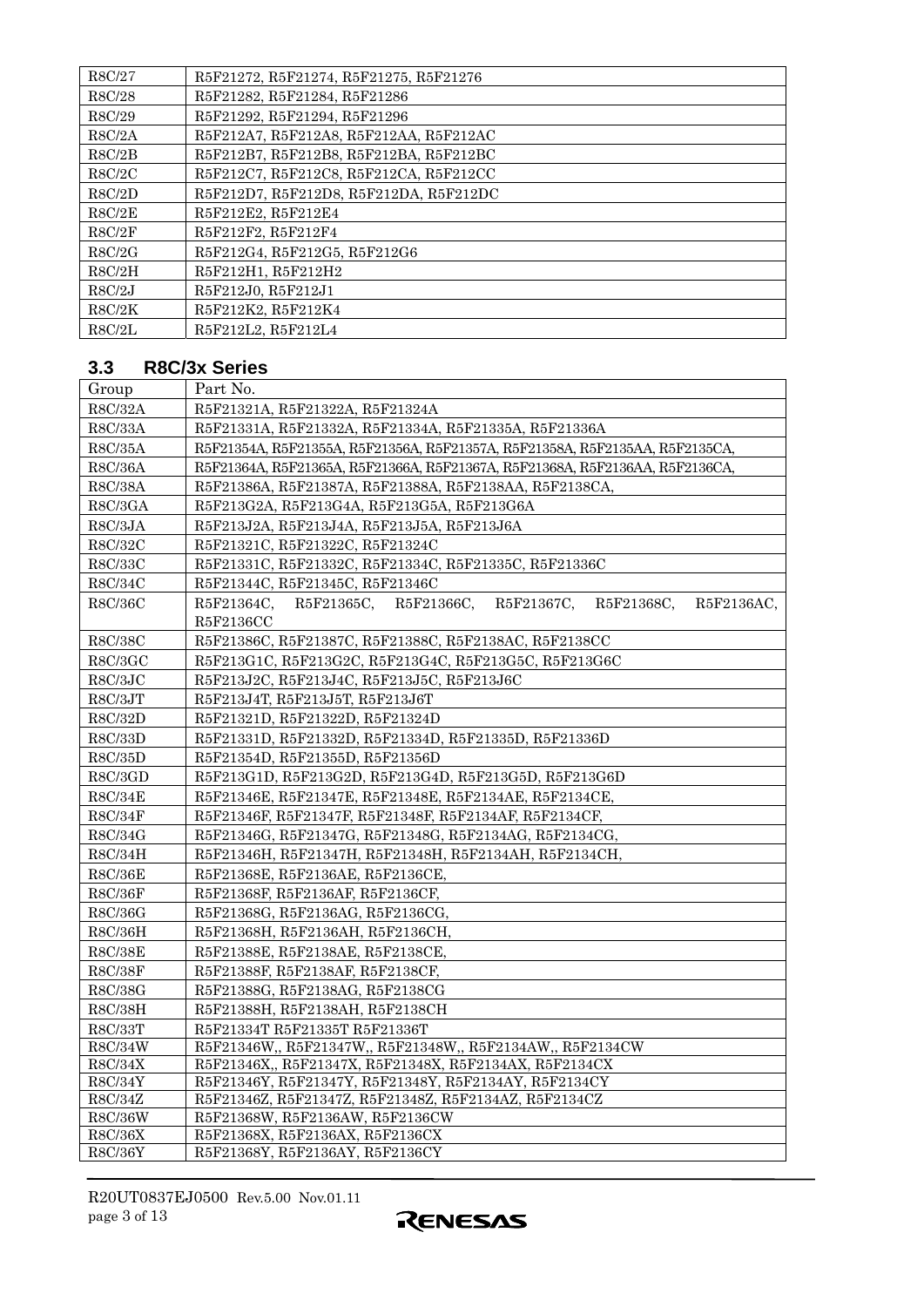<span id="page-2-0"></span>

| R8C/27 | R5F21272, R5F21274, R5F21275, R5F21276 |
|--------|----------------------------------------|
| R8C/28 | R5F21282, R5F21284, R5F21286           |
| R8C/29 | R5F21292, R5F21294, R5F21296           |
| R8C/2A | R5F212A7, R5F212A8, R5F212AA, R5F212AC |
| R8C/2B | R5F212B7, R5F212B8, R5F212BA, R5F212BC |
| R8C/2C | R5F212C7, R5F212C8, R5F212CA, R5F212CC |
| R8C/2D | R5F212D7, R5F212D8, R5F212DA, R5F212DC |
| R8C/2E | R5F212E2, R5F212E4                     |
| R8C/2F | R5F212F2, R5F212F4                     |
| R8C/2G | R5F212G4, R5F212G5, R5F212G6           |
| R8C/2H | R5F212H1, R5F212H2                     |
| R8C/2J | R5F212J0. R5F212J1                     |
| R8C/2K | R5F212K2, R5F212K4                     |
| R8C/2L | R5F212L2, R5F212L4                     |

# **3.3 R8C/3x Series**

| Group                     | Part No.                                                                     |  |  |  |  |
|---------------------------|------------------------------------------------------------------------------|--|--|--|--|
| R8C/32A                   | R5F21321A, R5F21322A, R5F21324A                                              |  |  |  |  |
| R8C/33A                   | R5F21331A, R5F21332A, R5F21334A, R5F21335A, R5F21336A                        |  |  |  |  |
| ${\rm R8C/35A}$           | R5F21354A, R5F21355A, R5F21356A, R5F21357A, R5F21358A, R5F2135AA, R5F2135CA, |  |  |  |  |
| R8C/36A                   | R5F21364A, R5F21365A, R5F21366A, R5F21367A, R5F21368A, R5F2136AA, R5F2136CA, |  |  |  |  |
| <b>R8C/38A</b>            | R5F21386A, R5F21387A, R5F21388A, R5F2138AA, R5F2138CA,                       |  |  |  |  |
| R8C/3GA                   | R5F213G2A, R5F213G4A, R5F213G5A, R5F213G6A                                   |  |  |  |  |
| R8C/3JA                   | R5F213J2A, R5F213J4A, R5F213J5A, R5F213J6A                                   |  |  |  |  |
| R8C/32C                   | R5F21321C, R5F21322C, R5F21324C                                              |  |  |  |  |
| R8C/33C                   | R5F21331C, R5F21332C, R5F21334C, R5F21335C, R5F21336C                        |  |  |  |  |
| R8C/34C                   | R5F21344C, R5F21345C, R5F21346C                                              |  |  |  |  |
| R8C/36C                   | R5F21364C, R5F21365C, R5F21366C,<br>R5F21367C,<br>R5F21368C,<br>R5F2136AC,   |  |  |  |  |
|                           | R5F2136CC                                                                    |  |  |  |  |
| R8C/38C                   | R5F21386C, R5F21387C, R5F21388C, R5F2138AC, R5F2138CC                        |  |  |  |  |
| R8C/3GC                   | R5F213G1C, R5F213G2C, R5F213G4C, R5F213G5C, R5F213G6C                        |  |  |  |  |
| R8C/3JC                   | R5F213J2C, R5F213J4C, R5F213J5C, R5F213J6C                                   |  |  |  |  |
| R8C/3JT                   | R5F213J4T, R5F213J5T, R5F213J6T                                              |  |  |  |  |
| R8C/32D                   | R5F21321D, R5F21322D, R5F21324D                                              |  |  |  |  |
| R8C/33D                   | R5F21331D, R5F21332D, R5F21334D, R5F21335D, R5F21336D                        |  |  |  |  |
| R8C/35D                   | R5F21354D, R5F21355D, R5F21356D                                              |  |  |  |  |
| R8C/3GD                   | R5F213G1D, R5F213G2D, R5F213G4D, R5F213G5D, R5F213G6D                        |  |  |  |  |
| R8C/34E                   | R5F21346E, R5F21347E, R5F21348E, R5F2134AE, R5F2134CE,                       |  |  |  |  |
| R8C/34F                   | R5F21346F, R5F21347F, R5F21348F, R5F2134AF, R5F2134CF,                       |  |  |  |  |
| R8C/34G                   | R5F21346G, R5F21347G, R5F21348G, R5F2134AG, R5F2134CG,                       |  |  |  |  |
| R8C/34H                   | R5F21346H, R5F21347H, R5F21348H, R5F2134AH, R5F2134CH,                       |  |  |  |  |
| <b>R8C/36E</b>            | R5F21368E, R5F2136AE, R5F2136CE,                                             |  |  |  |  |
| <b>R8C/36F</b>            | R5F21368F, R5F2136AF, R5F2136CF,                                             |  |  |  |  |
| R8C/36G                   | R5F21368G, R5F2136AG, R5F2136CG,                                             |  |  |  |  |
| R8C/36H                   | R5F21368H, R5F2136AH, R5F2136CH,                                             |  |  |  |  |
| <b>R8C/38E</b>            | R5F21388E, R5F2138AE, R5F2138CE.                                             |  |  |  |  |
| <b>R8C/38F</b>            | R5F21388F, R5F2138AF, R5F2138CF,                                             |  |  |  |  |
| ${\rm R8C/38G}$           | R5F21388G, R5F2138AG, R5F2138CG                                              |  |  |  |  |
| R8C/38H                   | R5F21388H, R5F2138AH, R5F2138CH                                              |  |  |  |  |
| R8C/33T                   | R5F21334T R5F21335T R5F21336T                                                |  |  |  |  |
| R8C/34W                   | R5F21346W, R5F21347W, R5F21348W, R5F2134AW, R5F2134CW                        |  |  |  |  |
| R8C/34X                   | R5F21346X,, R5F21347X, R5F21348X, R5F2134AX, R5F2134CX                       |  |  |  |  |
| R8C/34Y                   | R5F21346Y, R5F21347Y, R5F21348Y, R5F2134AY, R5F2134CY                        |  |  |  |  |
| R8C/34Z                   | R5F21346Z, R5F21347Z, R5F21348Z, R5F2134AZ, R5F2134CZ                        |  |  |  |  |
| <b>R8C/36W</b><br>R8C/36X | R5F21368W, R5F2136AW, R5F2136CW<br>R5F21368X, R5F2136AX, R5F2136CX           |  |  |  |  |
| <b>R8C/36Y</b>            | R5F21368Y, R5F2136AY, R5F2136CY                                              |  |  |  |  |
|                           |                                                                              |  |  |  |  |

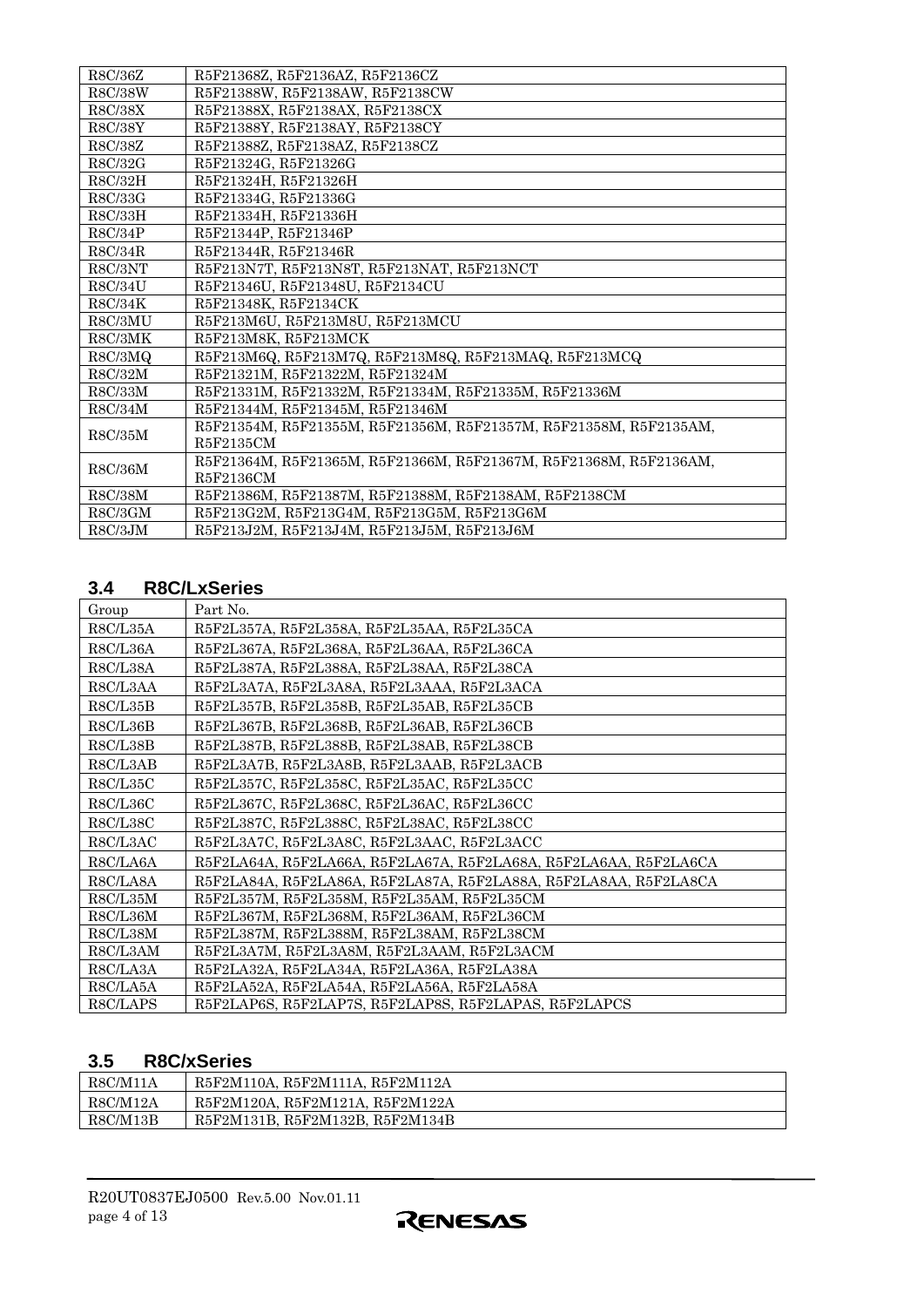<span id="page-3-0"></span>

| R8C/36Z         | R5F21368Z, R5F2136AZ, R5F2136CZ                                   |
|-----------------|-------------------------------------------------------------------|
| R8C/38W         | R5F21388W, R5F2138AW, R5F2138CW                                   |
| R8C/38X         | R5F21388X, R5F2138AX, R5F2138CX                                   |
| R8C/38Y         | R5F21388Y, R5F2138AY, R5F2138CY                                   |
| R8C/38Z         | R5F21388Z, R5F2138AZ, R5F2138CZ                                   |
| R8C/32G         | R5F21324G, R5F21326G                                              |
| R8C/32H         | R5F21324H. R5F21326H                                              |
| R8C/33G         | R5F21334G, R5F21336G                                              |
| R8C/33H         | R5F21334H, R5F21336H                                              |
| R8C/34P         | R5F21344P, R5F21346P                                              |
| R8C/34R         | R5F21344R, R5F21346R                                              |
| R8C/3NT         | R5F213N7T, R5F213N8T, R5F213NAT, R5F213NCT                        |
| R8C/34U         | R5F21346U, R5F21348U, R5F2134CU                                   |
| R8C/34K         | R5F21348K, R5F2134CK                                              |
| R8C/3MU         | R5F213M6U, R5F213M8U, R5F213MCU                                   |
| R8C/3MK         | R5F213M8K, R5F213MCK                                              |
| R8C/3MQ         | R5F213M6Q, R5F213M7Q, R5F213M8Q, R5F213MAQ, R5F213MCQ             |
| R8C/32M         | R5F21321M, R5F21322M, R5F21324M                                   |
| R8C/33M         | R5F21331M, R5F21332M, R5F21334M, R5F21335M, R5F21336M             |
| R8C/34M         | R5F21344M, R5F21345M, R5F21346M                                   |
| R8C/35M         | R5F21354M, R5F21355M, R5F21356M, R5F21357M, R5F21358M, R5F2135AM, |
|                 | R5F2135CM                                                         |
| R8C/36M         | R5F21364M, R5F21365M, R5F21366M, R5F21367M, R5F21368M, R5F2136AM, |
|                 | R5F2136CM                                                         |
| ${\rm R8C/38M}$ | R5F21386M, R5F21387M, R5F21388M, R5F2138AM, R5F2138CM             |
| R8C/3GM         | R5F213G2M, R5F213G4M, R5F213G5M, R5F213G6M                        |
| R8C/3JM         | R5F213J2M, R5F213J4M, R5F213J5M, R5F213J6M                        |

# **3.4 R8C/LxSeries**

| Group    | Part No.                                                         |
|----------|------------------------------------------------------------------|
| R8C/L35A | R5F2L357A, R5F2L358A, R5F2L35AA, R5F2L35CA                       |
| R8C/L36A | R5F2L367A, R5F2L368A, R5F2L36AA, R5F2L36CA                       |
| R8C/L38A | R5F2L387A, R5F2L388A, R5F2L38AA, R5F2L38CA                       |
| R8C/L3AA | R5F2L3A7A, R5F2L3A8A, R5F2L3AAA, R5F2L3ACA                       |
| R8C/L35B | R5F2L357B, R5F2L358B, R5F2L35AB, R5F2L35CB                       |
| R8C/L36B | R5F2L367B, R5F2L368B, R5F2L36AB, R5F2L36CB                       |
| R8C/L38B | R5F2L387B, R5F2L388B, R5F2L38AB, R5F2L38CB                       |
| R8C/L3AB | R5F2L3A7B, R5F2L3A8B, R5F2L3AAB, R5F2L3ACB                       |
| R8C/L35C | R5F2L357C, R5F2L358C, R5F2L35AC, R5F2L35CC                       |
| R8C/L36C | R5F2L367C, R5F2L368C, R5F2L36AC, R5F2L36CC                       |
| R8C/L38C | R5F2L387C, R5F2L388C, R5F2L38AC, R5F2L38CC                       |
| R8C/L3AC | R5F2L3A7C, R5F2L3A8C, R5F2L3AAC, R5F2L3ACC                       |
| R8C/LA6A | R5F2LA64A, R5F2LA66A, R5F2LA67A, R5F2LA68A, R5F2LA6AA, R5F2LA6CA |
| R8C/LA8A | R5F2LA84A, R5F2LA86A, R5F2LA87A, R5F2LA88A, R5F2LA8AA, R5F2LA8CA |
| R8C/L35M | R5F2L357M, R5F2L358M, R5F2L35AM, R5F2L35CM                       |
| R8C/L36M | R5F2L367M, R5F2L368M, R5F2L36AM, R5F2L36CM                       |
| R8C/L38M | R5F2L387M, R5F2L388M, R5F2L38AM, R5F2L38CM                       |
| R8C/L3AM | R5F2L3A7M, R5F2L3A8M, R5F2L3AAM, R5F2L3ACM                       |
| R8C/LA3A | R5F2LA32A, R5F2LA34A, R5F2LA36A, R5F2LA38A                       |
| R8C/LA5A | R5F2LA52A, R5F2LA54A, R5F2LA56A, R5F2LA58A                       |
| R8C/LAPS | R5F2LAP6S, R5F2LAP7S, R5F2LAP8S, R5F2LAPAS, R5F2LAPCS            |

# **3.5 R8C/xSeries**

| R8C/M11A | R5F2M110A, R5F2M111A, R5F2M112A |
|----------|---------------------------------|
| R8C/M12A | R5F2M120A, R5F2M121A, R5F2M122A |
| R8C/M13B | R5F2M131B, R5F2M132B, R5F2M134B |

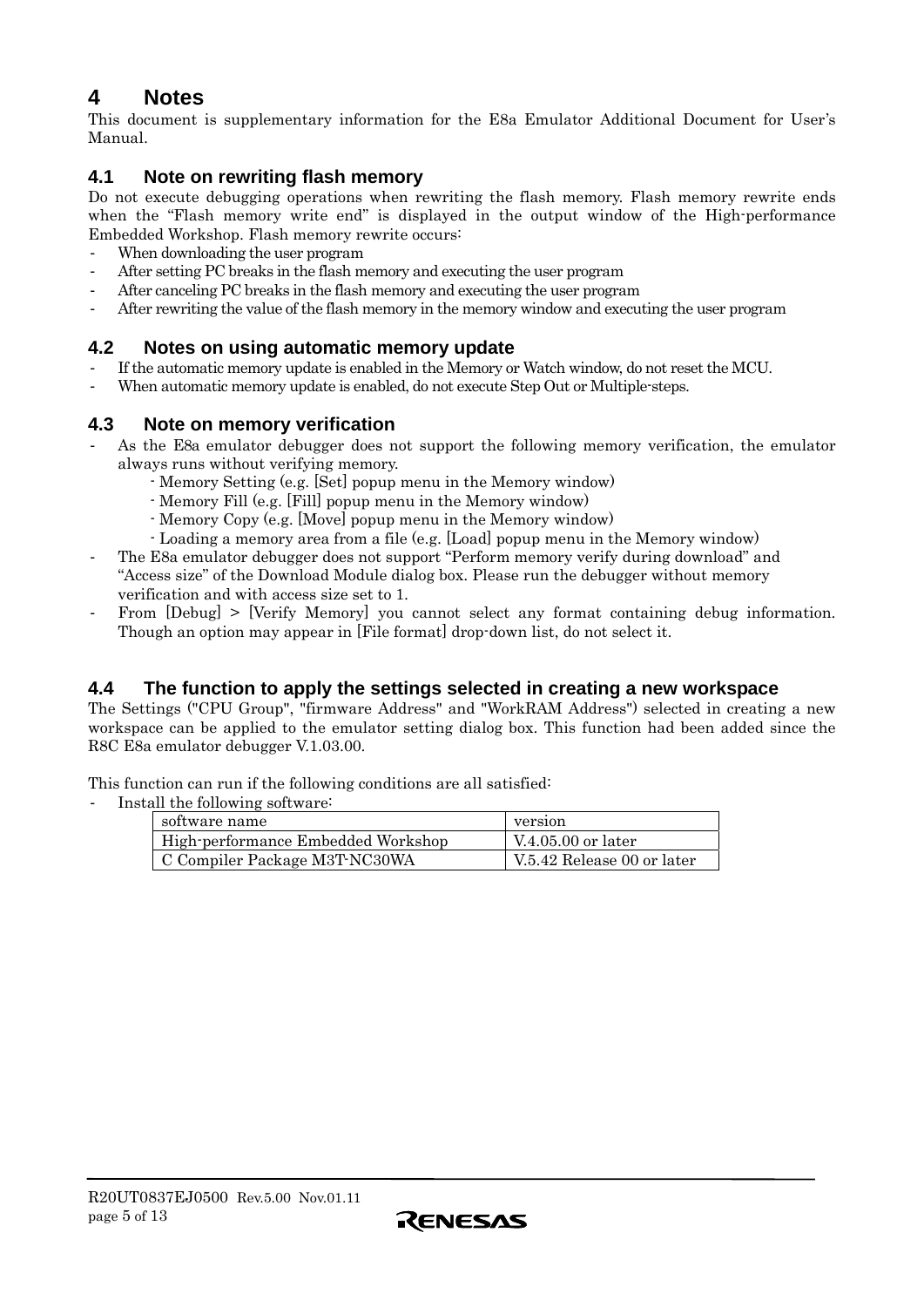# <span id="page-4-0"></span>**4 Notes**

This document is supplementary information for the E8a Emulator Additional Document for User's Manual.

# **4.1 Note on rewriting flash memory**

Do not execute debugging operations when rewriting the flash memory. Flash memory rewrite ends when the "Flash memory write end" is displayed in the output window of the High-performance Embedded Workshop. Flash memory rewrite occurs:

- When downloading the user program
- After setting PC breaks in the flash memory and executing the user program
- After canceling PC breaks in the flash memory and executing the user program
- After rewriting the value of the flash memory in the memory window and executing the user program

# **4.2 Notes on using automatic memory update**

- If the automatic memory update is enabled in the Memory or Watch window, do not reset the MCU.
- When automatic memory update is enabled, do not execute Step Out or Multiple-steps.

# **4.3 Note on memory verification**

- As the E8a emulator debugger does not support the following memory verification, the emulator always runs without verifying memory.
	- Memory Setting (e.g. [Set] popup menu in the Memory window)
	- Memory Fill (e.g. [Fill] popup menu in the Memory window)
	- Memory Copy (e.g. [Move] popup menu in the Memory window)
	- Loading a memory area from a file (e.g. [Load] popup menu in the Memory window)
- The E8a emulator debugger does not support "Perform memory verify during download" and "Access size" of the Download Module dialog box. Please run the debugger without memory verification and with access size set to 1.
- From [Debug] > [Verify Memory] you cannot select any format containing debug information. Though an option may appear in [File format] drop-down list, do not select it.

### **4.4 The function to apply the settings selected in creating a new workspace**

The Settings ("CPU Group", "firmware Address" and "WorkRAM Address") selected in creating a new workspace can be applied to the emulator setting dialog box. This function had been added since the R8C E8a emulator debugger V.1.03.00.

This function can run if the following conditions are all satisfied:

Install the following software:

| software name                      | version                    |
|------------------------------------|----------------------------|
| High-performance Embedded Workshop | V.4.05.00 or later         |
| C Compiler Package M3T-NC30WA      | V.5.42 Release 00 or later |

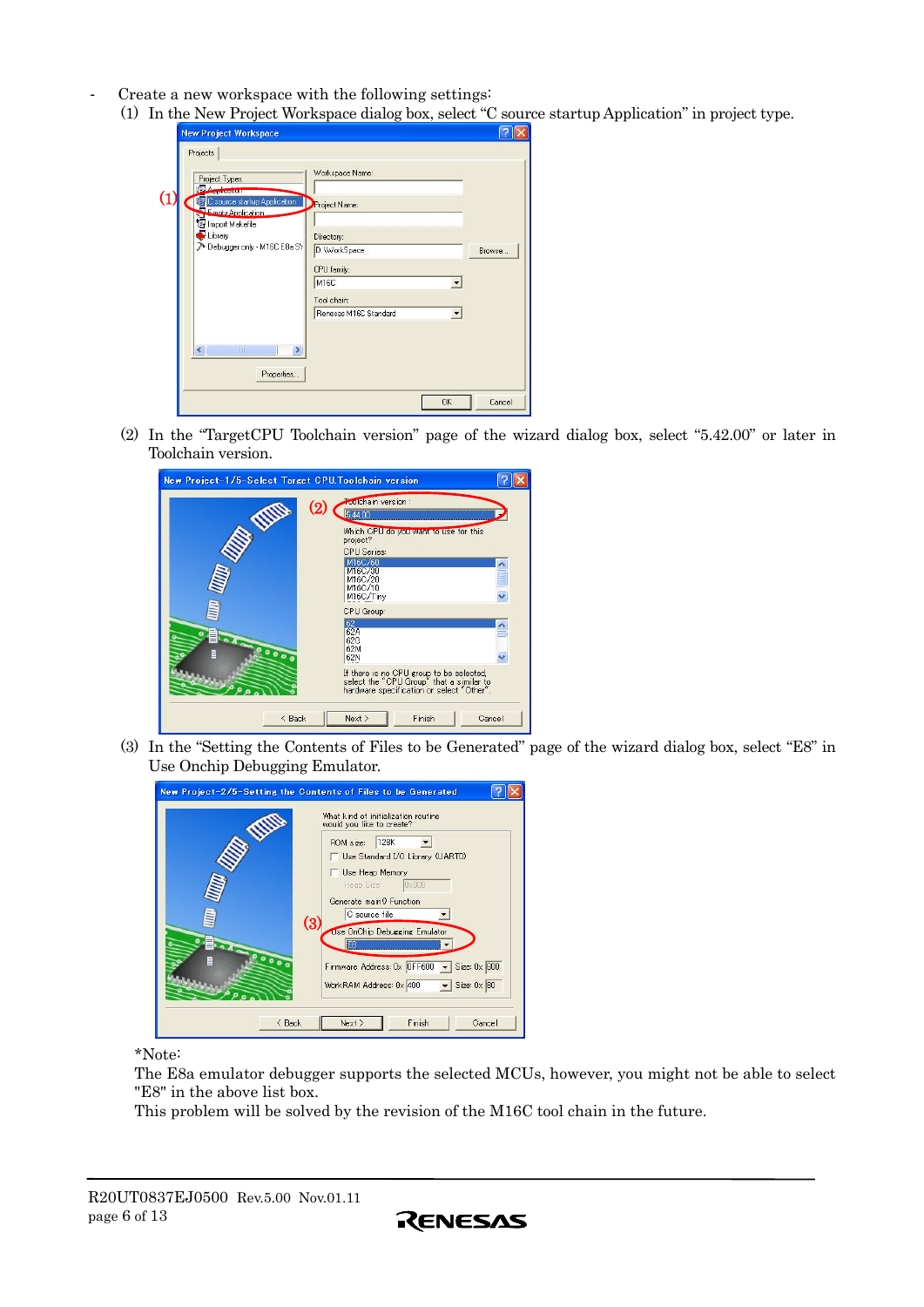- Create a new workspace with the following settings:
	- (1) In the New Project Workspace dialog box, select "C source startup Application" in project type.

| Project Types                                                           | Workspace Name:            |        |
|-------------------------------------------------------------------------|----------------------------|--------|
| <b>Application</b><br>C source startup Application<br>Empty Application | J)<br>Project Name:        |        |
| Import Makefile<br>Library<br>> Debugger only - M16C E8a SY             | Directory:<br>D:\WorkSpace | Browse |
|                                                                         | CPU family:                |        |
|                                                                         | M16C                       |        |
|                                                                         | Tool chain:                |        |
|                                                                         | Renesas M16C Standard      |        |
| $\left\langle \cdot \right\rangle$<br><b>THE</b>                        |                            |        |
| Properties                                                              |                            |        |

(2) In the "TargetCPU Toolchain version" page of the wizard dialog box, select "5.42.00" or later in Toolchain version.

| New Project-1/5-Select Target CPU. Toolchain version |                                                                                                                                                                                                                                |        |
|------------------------------------------------------|--------------------------------------------------------------------------------------------------------------------------------------------------------------------------------------------------------------------------------|--------|
| WWW<br>0.000                                         | <b>Foolchain</b> version :<br>(2<br>544.00<br>Which CPU do you want to use for this<br>project?<br><b>CPU</b> Series:<br>M16C/60<br>M16C/30<br>M16C/20<br>M16C/10<br>M16C/Tiny<br>CPU Group:<br>62<br>62A<br>62G<br>62M<br>62N | Ħ<br>m |
|                                                      | If there is no CPU group to be selected,<br>select the "CPU Group" that a similar to<br>hardware specification or select "Other".                                                                                              |        |
| $\leq$ Back                                          | Finish<br>Next                                                                                                                                                                                                                 | Cancel |

(3) In the "Setting the Contents of Files to be Generated" page of the wizard dialog box, select "E8" in Use Onchip Debugging Emulator.



\*Note:

The E8a emulator debugger supports the selected MCUs, however, you might not be able to select "E8" in the above list box.

This problem will be solved by the revision of the M16C tool chain in the future.

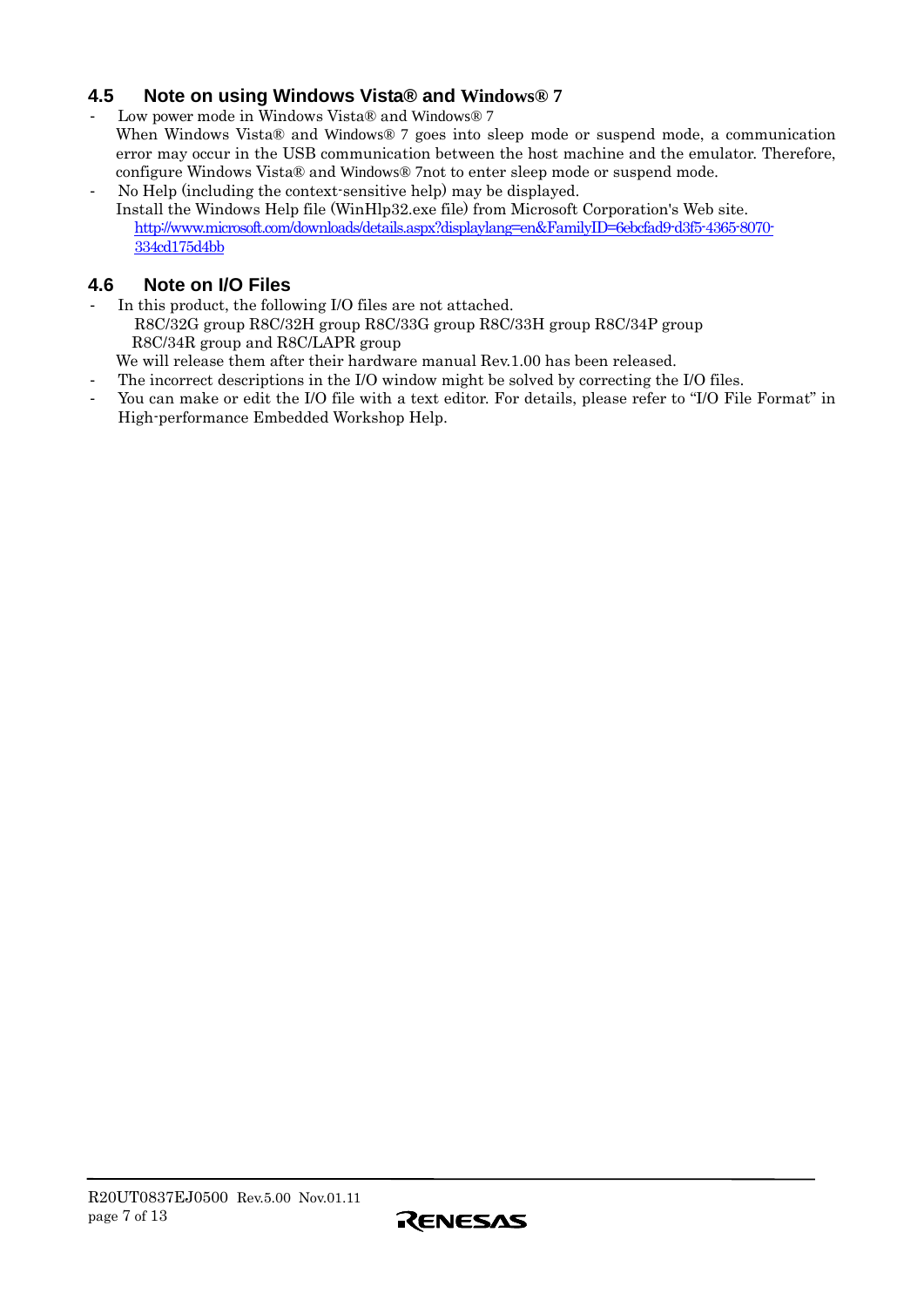# <span id="page-6-0"></span>**4.5 Note on using Windows Vista® and Windows® 7**

- Low power mode in Windows Vista® and Windows® 7 When Windows Vista® and Windows® 7 goes into sleep mode or suspend mode, a communication error may occur in the USB communication between the host machine and the emulator. Therefore, configure Windows Vista® and Windows® 7not to enter sleep mode or suspend mode.
- No Help (including the context-sensitive help) may be displayed. Install the Windows Help file (WinHlp32.exe file) from Microsoft Corporation's Web site. [http://www.microsoft.com/downloads/details.aspx?displaylang=en&FamilyID=6ebcfad9-d3f5-4365-8070-](http://www.microsoft.com/downloads/details.aspx?displaylang=en&FamilyID=6ebcfad9-d3f5-4365-8070-334cd175d4bb) [334cd175d4bb](http://www.microsoft.com/downloads/details.aspx?displaylang=en&FamilyID=6ebcfad9-d3f5-4365-8070-334cd175d4bb)

# **4.6 Note on I/O Files**

- In this product, the following I/O files are not attached. R8C/32G group R8C/32H group R8C/33G group R8C/33H group R8C/34P group R8C/34R group and R8C/LAPR group We will release them after their hardware manual Rev.1.00 has been released.
- The incorrect descriptions in the I/O window might be solved by correcting the I/O files.
- You can make or edit the I/O file with a text editor. For details, please refer to "I/O File Format" in High-performance Embedded Workshop Help.

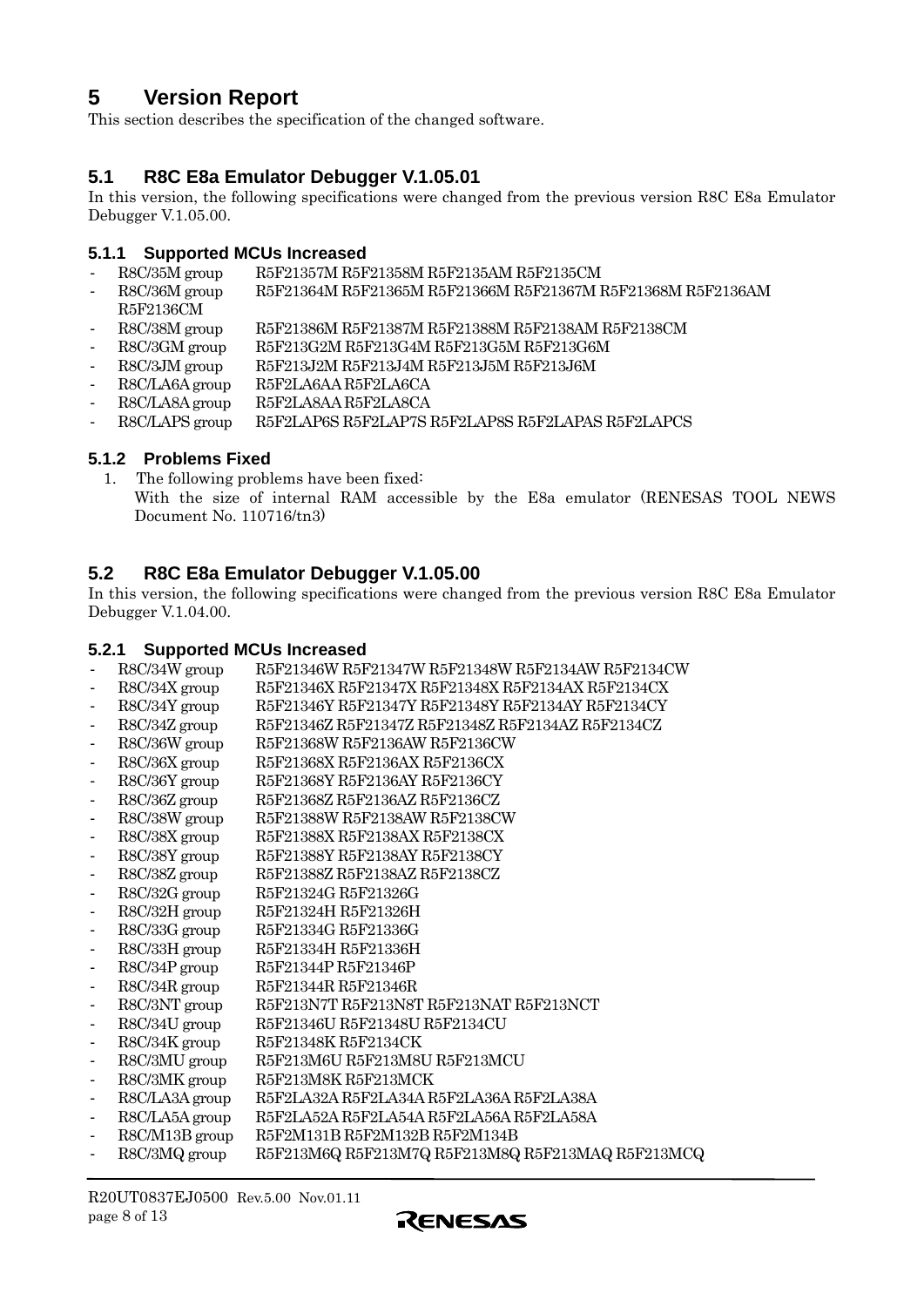# <span id="page-7-0"></span>**5 Version Report**

This section describes the specification of the changed software.

# **5.1 R8C E8a Emulator Debugger V.1.05.01**

In this version, the following specifications were changed from the previous version R8C E8a Emulator Debugger V.1.05.00.

#### **5.1.1 Supported MCUs Increased**

- R8C/35M group R5F21357M R5F21358M R5F2135AM R5F2135CM
- R8C/36M group R5F21364M R5F21365M R5F21366M R5F21367M R5F21368M R5F2136AM R5F2136CM
- R8C/38M group R5F21386M R5F21387M R5F21388M R5F2138AM R5F2138CM
- R8C/3GM group R5F213G2M R5F213G4M R5F213G5M R5F213G6M
- R8C/3JM group R5F213J2M R5F213J4M R5F213J5M R5F213J6M
- R8C/LA6A group R5F2LA6AA R5F2LA6CA
- R8C/LA8A group R5F2LA8AA R5F2LA8CA
- R8C/LAPS group R5F2LAP6S R5F2LAP7S R5F2LAP8S R5F2LAPAS R5F2LAPCS

#### **5.1.2 Problems Fixed**

1. The following problems have been fixed: With the size of internal RAM accessible by the E8a emulator (RENESAS TOOL NEWS Document No. 110716/tn3)

# **5.2 R8C E8a Emulator Debugger V.1.05.00**

In this version, the following specifications were changed from the previous version R8C E8a Emulator Debugger V.1.04.00.

#### **5.2.1 Supported MCUs Increased**

- R8C/34W group R5F21346W R5F21347W R5F21348W R5F2134AW R5F2134CW
- R8C/34X group R5F21346X R5F21347X R5F21348X R5F2134AX R5F2134CX
- R8C/34Y group R5F21346Y R5F21347Y R5F21348Y R5F2134AY R5F2134CY
- R8C/34Z group R5F21346Z R5F21347Z R5F21348Z R5F2134AZ R5F2134CZ
- R8C/36W group R5F21368W R5F2136AW R5F2136CW
- R8C/36X group R5F21368X R5F2136AX R5F2136CX
- R8C/36Y group R5F21368Y R5F2136AY R5F2136CY
- R8C/36Z group R5F21368Z R5F2136AZ R5F2136CZ
- R8C/38W group R5F21388W R5F2138AW R5F2138CW
- R8C/38X group R5F21388X R5F2138AX R5F2138CX
- R8C/38Y group R5F21388Y R5F2138AY R5F2138CY
- R8C/38Z group R5F21388Z R5F2138AZ R5F2138CZ
- R8C/32G group R5F21324G R5F21326G
- R8C/32H group R5F21324H R5F21326H
- R8C/33G group R5F21334G R5F21336G
- R8C/33H group R5F21334H R5F21336H
- R8C/34P group R5F21344P R5F21346P
- R8C/34R group R5F21344R R5F21346R
- R8C/3NT group R5F213N7T R5F213N8T R5F213NAT R5F213NCT
- R8C/34U group R5F21346U R5F21348U R5F2134CU
- R8C/34K group R5F21348K R5F2134CK
- R8C/3MU group R5F213M6U R5F213M8U R5F213MCU
- R8C/3MK group R5F213M8K R5F213MCK
- R8C/LA3A group R5F2LA32A R5F2LA34A R5F2LA36A R5F2LA38A
- R8C/LA5A group R5F2LA52A R5F2LA54A R5F2LA56A R5F2LA58A
- R8C/M13B group R5F2M131B R5F2M132B R5F2M134B
- R8C/3MQ group R5F213M6Q R5F213M7Q R5F213M8Q R5F213MAQ R5F213MCQ

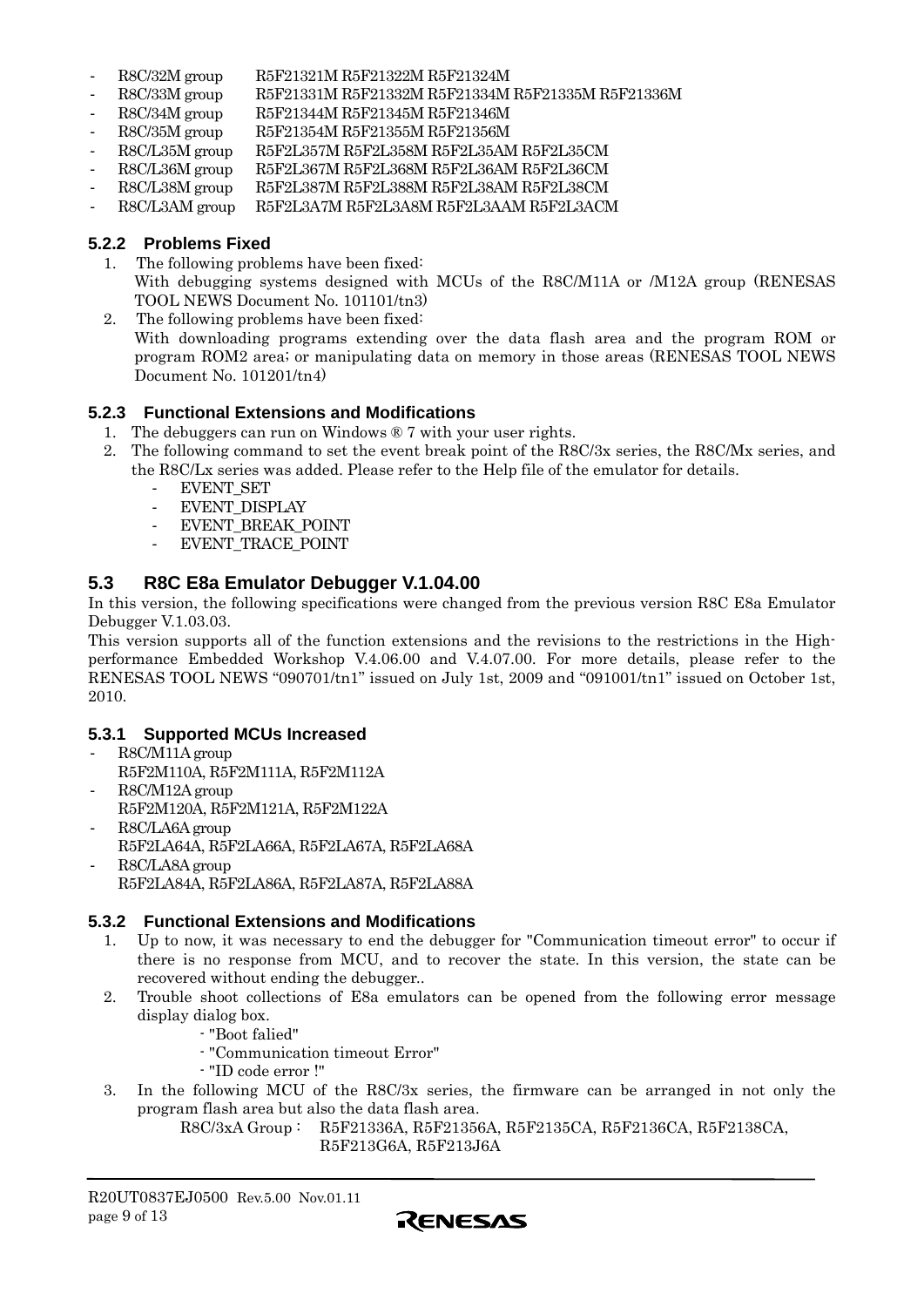- <span id="page-8-0"></span>- R8C/32M group R5F21321M R5F21322M R5F21324M
- R8C/33M group R5F21331M R5F21332M R5F21334M R5F21335M R5F21336M
- R8C/34M group R5F21344M R5F21345M R5F21346M
- R8C/35M group R5F21354M R5F21355M R5F21356M
- R8C/L35M group R5F2L357M R5F2L358M R5F2L35AM R5F2L35CM
- R8C/L36M group R5F2L367M R5F2L368M R5F2L36AM R5F2L36CM
- R8C/L38M group R5F2L387M R5F2L388M R5F2L38AM R5F2L38CM
- R8C/L3AM group R5F2L3A7M R5F2L3A8M R5F2L3AAM R5F2L3ACM

#### **5.2.2 Problems Fixed**

- 1. The following problems have been fixed: With debugging systems designed with MCUs of the R8C/M11A or /M12A group (RENESAS TOOL NEWS Document No. 101101/tn3)
- 2. The following problems have been fixed:

With downloading programs extending over the data flash area and the program ROM or program ROM2 area; or manipulating data on memory in those areas (RENESAS TOOL NEWS Document No. 101201/tn4)

#### **5.2.3 Functional Extensions and Modifications**

- 1. The debuggers can run on Windows ® 7 with your user rights.
- 2. The following command to set the event break point of the R8C/3x series, the R8C/Mx series, and the R8C/Lx series was added. Please refer to the Help file of the emulator for details.
	- EVENT SET
	- EVENT\_DISPLAY
	- EVENT BREAK POINT
	- EVENT TRACE POINT

#### **5.3 R8C E8a Emulator Debugger V.1.04.00**

In this version, the following specifications were changed from the previous version R8C E8a Emulator Debugger V.1.03.03.

This version supports all of the function extensions and the revisions to the restrictions in the Highperformance Embedded Workshop V.4.06.00 and V.4.07.00. For more details, please refer to the RENESAS TOOL NEWS "090701/tn1" issued on July 1st, 2009 and "091001/tn1" issued on October 1st, 2010.

#### **5.3.1 Supported MCUs Increased**

- R8C/M11A group R5F2M110A, R5F2M111A, R5F2M112A
- R8C/M12A group R5F2M120A, R5F2M121A, R5F2M122A
- R8C/LA6A group R5F2LA64A, R5F2LA66A, R5F2LA67A, R5F2LA68A R8C/LA8A group
- R5F2LA84A, R5F2LA86A, R5F2LA87A, R5F2LA88A

#### **5.3.2 Functional Extensions and Modifications**

- 1. Up to now, it was necessary to end the debugger for "Communication timeout error" to occur if there is no response from MCU, and to recover the state. In this version, the state can be recovered without ending the debugger..
- 2. Trouble shoot collections of E8a emulators can be opened from the following error message display dialog box.
	- "Boot falied"
	- "Communication timeout Error"
	- "ID code error !"
- 3. In the following MCU of the R8C/3x series, the firmware can be arranged in not only the program flash area but also the data flash area.

R8C/3xA Group : R5F21336A, R5F21356A, R5F2135CA, R5F2136CA, R5F2138CA, R5F213G6A, R5F213J6A

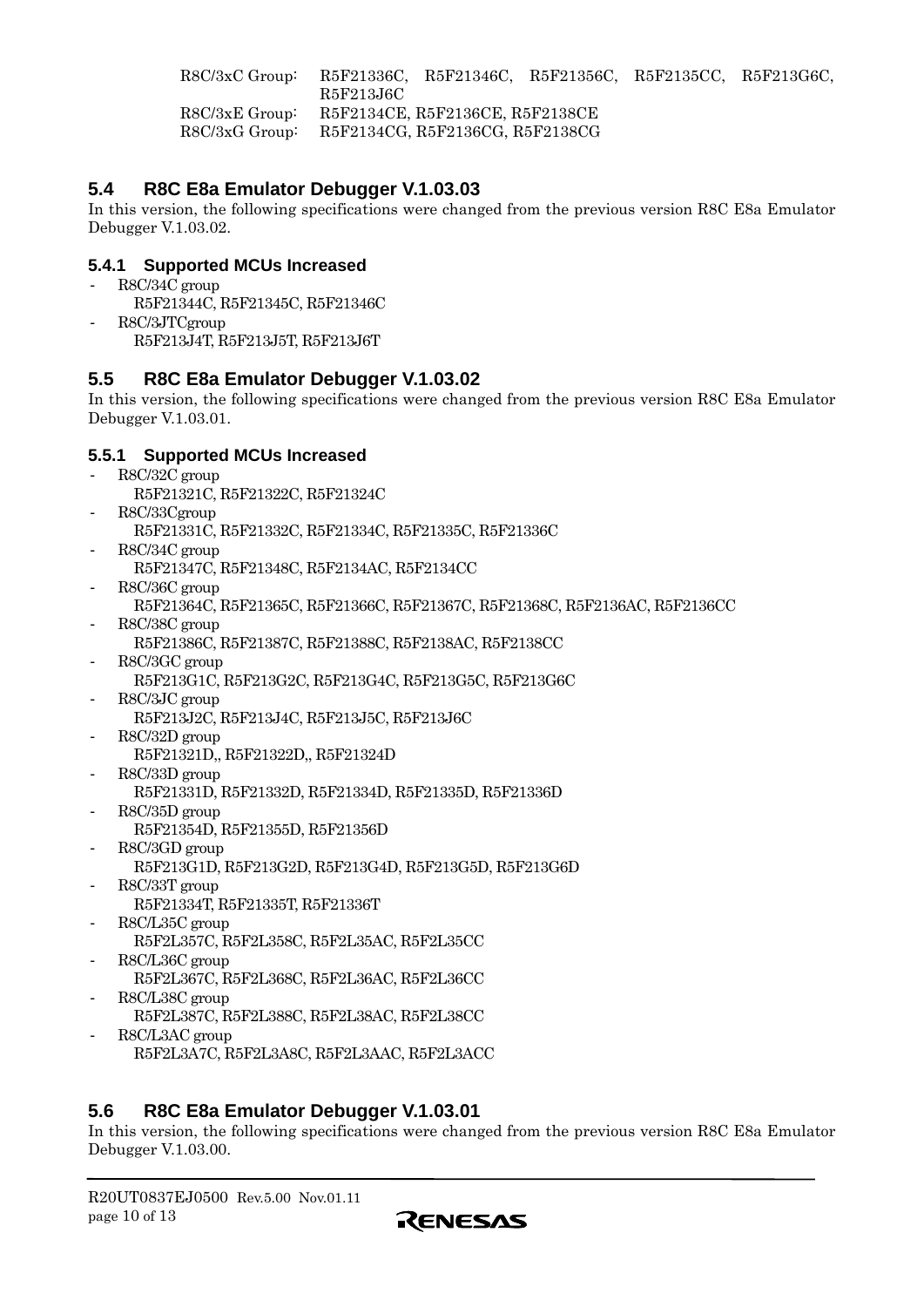<span id="page-9-0"></span>R8C/3xC Group: R5F21336C, R5F21346C, R5F21356C, R5F2135CC, R5F213G6C, R5F213J6C R8C/3xE Group: R5F2134CE, R5F2136CE, R5F2138CE R8C/3xG Group: R5F2134CG, R5F2136CG, R5F2138CG

# **5.4 R8C E8a Emulator Debugger V.1.03.03**

In this version, the following specifications were changed from the previous version R8C E8a Emulator Debugger V.1.03.02.

### **5.4.1 Supported MCUs Increased**

- R8C/34C group
- R5F21344C, R5F21345C, R5F21346C - R8C/3JTCgroup R5F213J4T, R5F213J5T, R5F213J6T

# **5.5 R8C E8a Emulator Debugger V.1.03.02**

In this version, the following specifications were changed from the previous version R8C E8a Emulator Debugger V.1.03.01.

#### **5.5.1 Supported MCUs Increased**

- R8C/32C group
	- R5F21321C, R5F21322C, R5F21324C
- R8C/33Cgroup R5F21331C, R5F21332C, R5F21334C, R5F21335C, R5F21336C
- R8C/34C group R5F21347C, R5F21348C, R5F2134AC, R5F2134CC
- R8C/36C group
	- R5F21364C, R5F21365C, R5F21366C, R5F21367C, R5F21368C, R5F2136AC, R5F2136CC
- R8C/38C group R5F21386C, R5F21387C, R5F21388C, R5F2138AC, R5F2138CC
- R8C/3GC group
	- R5F213G1C, R5F213G2C, R5F213G4C, R5F213G5C, R5F213G6C
- R8C/3JC group
	- R5F213J2C, R5F213J4C, R5F213J5C, R5F213J6C
- R8C/32D group
	- R5F21321D,, R5F21322D,, R5F21324D
- R8C/33D group
	- R5F21331D, R5F21332D, R5F21334D, R5F21335D, R5F21336D
- R8C/35D group
	- R5F21354D, R5F21355D, R5F21356D
- R8C/3GD group R5F213G1D, R5F213G2D, R5F213G4D, R5F213G5D, R5F213G6D
- R8C/33T group R5F21334T, R5F21335T, R5F21336T
- R8C/L35C group R5F2L357C, R5F2L358C, R5F2L35AC, R5F2L35CC
- R8C/L36C group
- R5F2L367C, R5F2L368C, R5F2L36AC, R5F2L36CC R8C/L38C group
	- R5F2L387C, R5F2L388C, R5F2L38AC, R5F2L38CC
- R8C/L3AC group R5F2L3A7C, R5F2L3A8C, R5F2L3AAC, R5F2L3ACC

# **5.6 R8C E8a Emulator Debugger V.1.03.01**

In this version, the following specifications were changed from the previous version R8C E8a Emulator Debugger V.1.03.00.

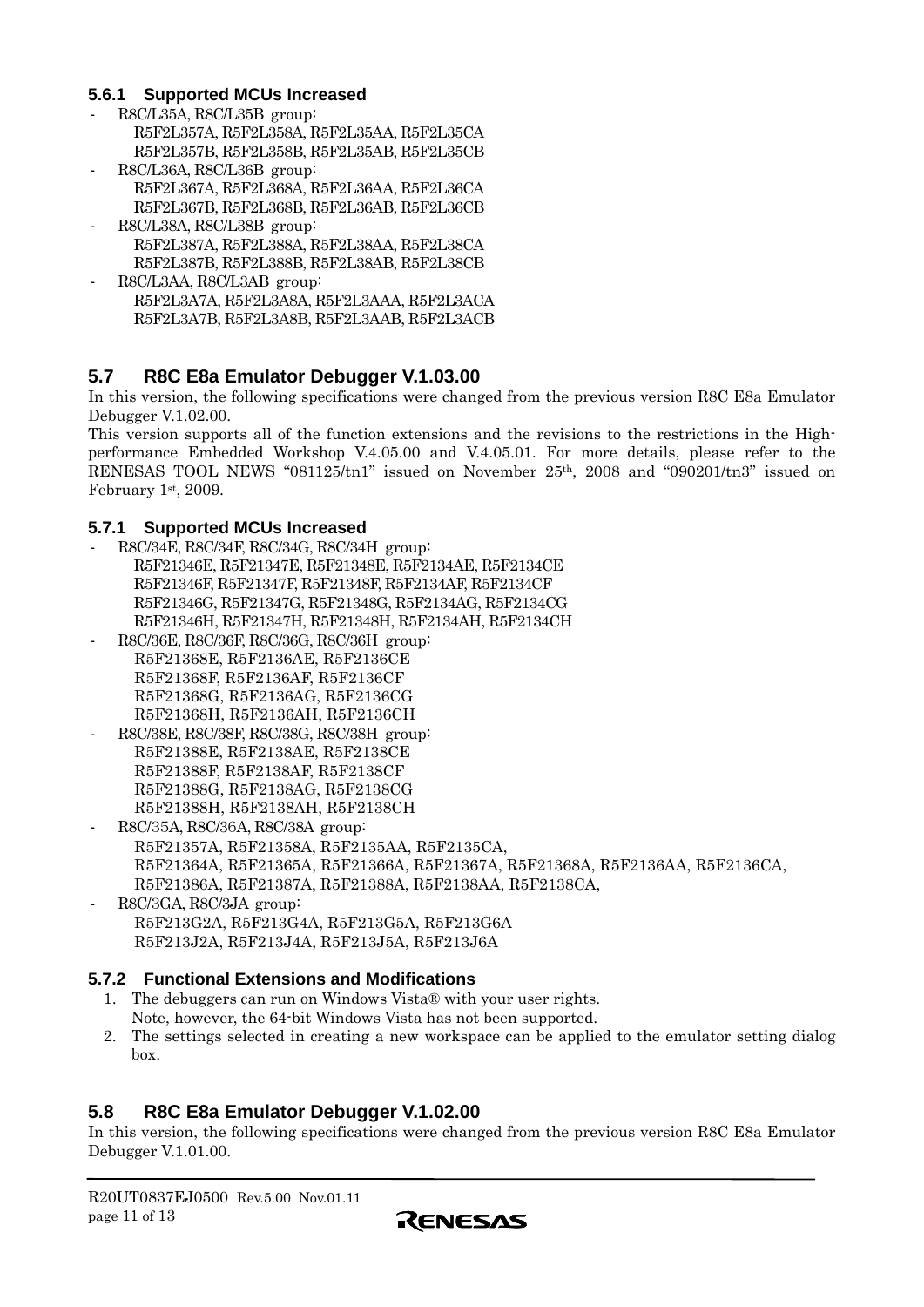#### <span id="page-10-0"></span>**5.6.1 Supported MCUs Increased**

- R8C/L35A, R8C/L35B group: R5F2L357A, R5F2L358A, R5F2L35AA, R5F2L35CA R5F2L357B, R5F2L358B, R5F2L35AB, R5F2L35CB
- R8C/L36A, R8C/L36B group: R5F2L367A, R5F2L368A, R5F2L36AA, R5F2L36CA R5F2L367B, R5F2L368B, R5F2L36AB, R5F2L36CB
- R8C/L38A, R8C/L38B group: R5F2L387A, R5F2L388A, R5F2L38AA, R5F2L38CA R5F2L387B, R5F2L388B, R5F2L38AB, R5F2L38CB
- R8C/L3AA, R8C/L3AB group: R5F2L3A7A, R5F2L3A8A, R5F2L3AAA, R5F2L3ACA R5F2L3A7B, R5F2L3A8B, R5F2L3AAB, R5F2L3ACB

# **5.7 R8C E8a Emulator Debugger V.1.03.00**

In this version, the following specifications were changed from the previous version R8C E8a Emulator Debugger V.1.02.00.

This version supports all of the function extensions and the revisions to the restrictions in the Highperformance Embedded Workshop V.4.05.00 and V.4.05.01. For more details, please refer to the RENESAS TOOL NEWS "081125/tn1" issued on November 25th, 2008 and "090201/tn3" issued on February 1st, 2009.

#### **5.7.1 Supported MCUs Increased**

- R8C/34E, R8C/34F, R8C/34G, R8C/34H group: R5F21346E, R5F21347E, R5F21348E, R5F2134AE, R5F2134CE R5F21346F, R5F21347F, R5F21348F, R5F2134AF, R5F2134CF R5F21346G, R5F21347G, R5F21348G, R5F2134AG, R5F2134CG R5F21346H, R5F21347H, R5F21348H, R5F2134AH, R5F2134CH
- R8C/36E, R8C/36F, R8C/36G, R8C/36H group: R5F21368E, R5F2136AE, R5F2136CE R5F21368F, R5F2136AF, R5F2136CF R5F21368G, R5F2136AG, R5F2136CG R5F21368H, R5F2136AH, R5F2136CH
- R8C/38E, R8C/38F, R8C/38G, R8C/38H group: R5F21388E, R5F2138AE, R5F2138CE R5F21388F, R5F2138AF, R5F2138CF R5F21388G, R5F2138AG, R5F2138CG R5F21388H, R5F2138AH, R5F2138CH
- R8C/35A, R8C/36A, R8C/38A group: R5F21357A, R5F21358A, R5F2135AA, R5F2135CA, R5F21364A, R5F21365A, R5F21366A, R5F21367A, R5F21368A, R5F2136AA, R5F2136CA, R5F21386A, R5F21387A, R5F21388A, R5F2138AA, R5F2138CA,
- R8C/3GA, R8C/3JA group: R5F213G2A, R5F213G4A, R5F213G5A, R5F213G6A R5F213J2A, R5F213J4A, R5F213J5A, R5F213J6A

#### **5.7.2 Functional Extensions and Modifications**

- 1. The debuggers can run on Windows Vista® with your user rights. Note, however, the 64-bit Windows Vista has not been supported.
- 2. The settings selected in creating a new workspace can be applied to the emulator setting dialog box.

### **5.8 R8C E8a Emulator Debugger V.1.02.00**

In this version, the following specifications were changed from the previous version R8C E8a Emulator Debugger V.1.01.00.

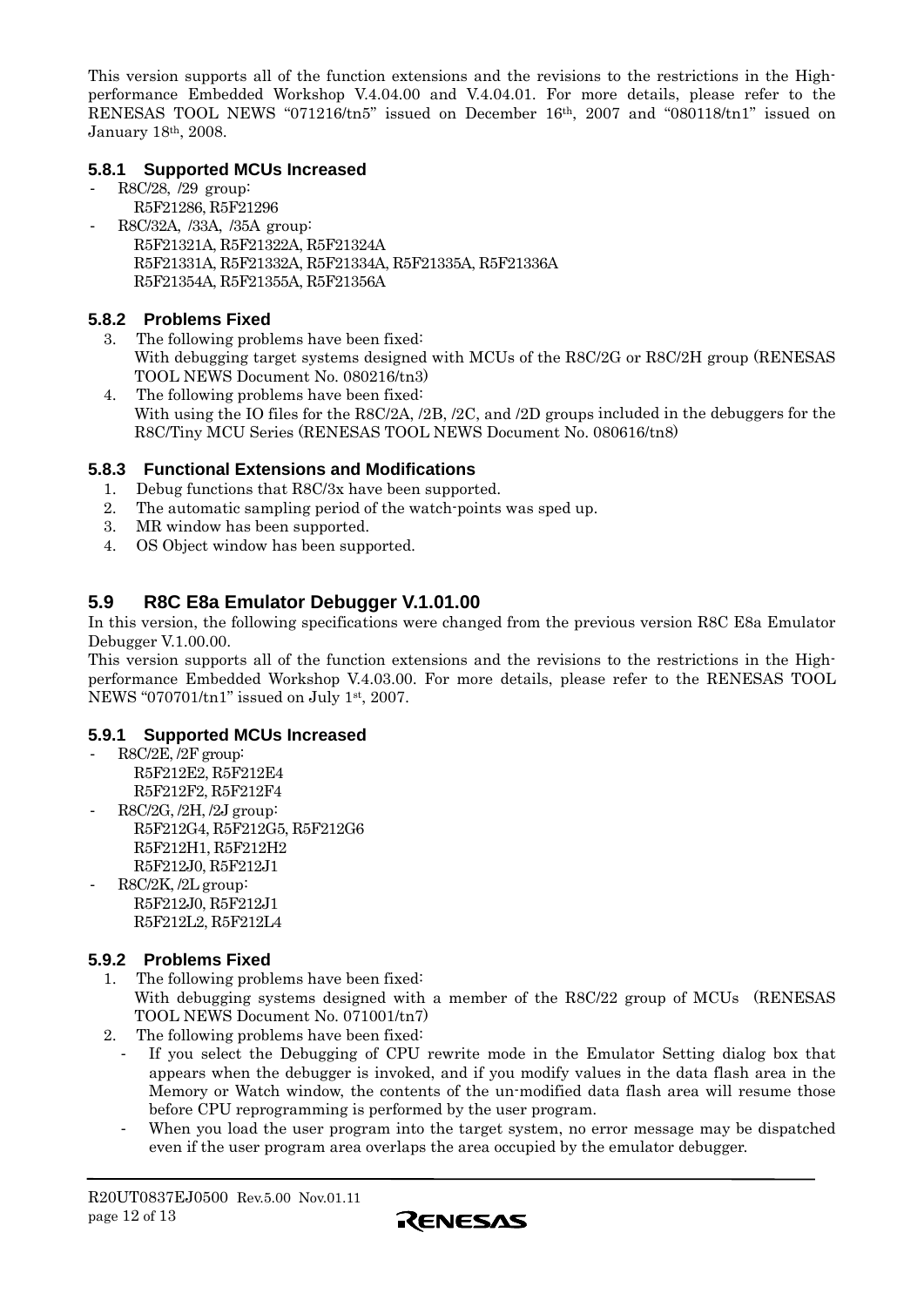<span id="page-11-0"></span>This version supports all of the function extensions and the revisions to the restrictions in the Highperformance Embedded Workshop V.4.04.00 and V.4.04.01. For more details, please refer to the RENESAS TOOL NEWS "071216/tn5" issued on December 16th, 2007 and "080118/tn1" issued on January 18th, 2008.

#### **5.8.1 Supported MCUs Increased**

- R8C/28, /29 group: R5F21286, R5F21296
- R8C/32A, /33A, /35A group: R5F21321A, R5F21322A, R5F21324A R5F21331A, R5F21332A, R5F21334A, R5F21335A, R5F21336A R5F21354A, R5F21355A, R5F21356A

#### **5.8.2 Problems Fixed**

- 3. The following problems have been fixed: With debugging target systems designed with MCUs of the R8C/2G or R8C/2H group (RENESAS TOOL NEWS Document No. 080216/tn3)
- 4. The following problems have been fixed: With using the IO files for the R8C/2A, /2B, /2C, and /2D groups included in the debuggers for the R8C/Tiny MCU Series (RENESAS TOOL NEWS Document No. 080616/tn8)

#### **5.8.3 Functional Extensions and Modifications**

- 1. Debug functions that R8C/3x have been supported.
- 2. The automatic sampling period of the watch-points was sped up.
- 3. MR window has been supported.
- 4. OS Object window has been supported.

# **5.9 R8C E8a Emulator Debugger V.1.01.00**

In this version, the following specifications were changed from the previous version R8C E8a Emulator Debugger V.1.00.00.

This version supports all of the function extensions and the revisions to the restrictions in the Highperformance Embedded Workshop V.4.03.00. For more details, please refer to the RENESAS TOOL NEWS "070701/tn1" issued on July 1st, 2007.

### **5.9.1 Supported MCUs Increased**

- R8C/2E, /2F group:
	- R5F212E2, R5F212E4 R5F212F2, R5F212F4
- R8C/2G, /2H, /2J group:
- R5F212G4, R5F212G5, R5F212G6 R5F212H1, R5F212H2 R5F212J0, R5F212J1
- R8C/2K, /2L group: R5F212J0, R5F212J1 R5F212L2, R5F212L4

### **5.9.2 Problems Fixed**

- 1. The following problems have been fixed: With debugging systems designed with a member of the R8C/22 group of MCUs (RENESAS) TOOL NEWS Document No. 071001/tn7)
- 2. The following problems have been fixed:
	- If you select the Debugging of CPU rewrite mode in the Emulator Setting dialog box that appears when the debugger is invoked, and if you modify values in the data flash area in the Memory or Watch window, the contents of the un-modified data flash area will resume those before CPU reprogramming is performed by the user program.
	- When you load the user program into the target system, no error message may be dispatched even if the user program area overlaps the area occupied by the emulator debugger.